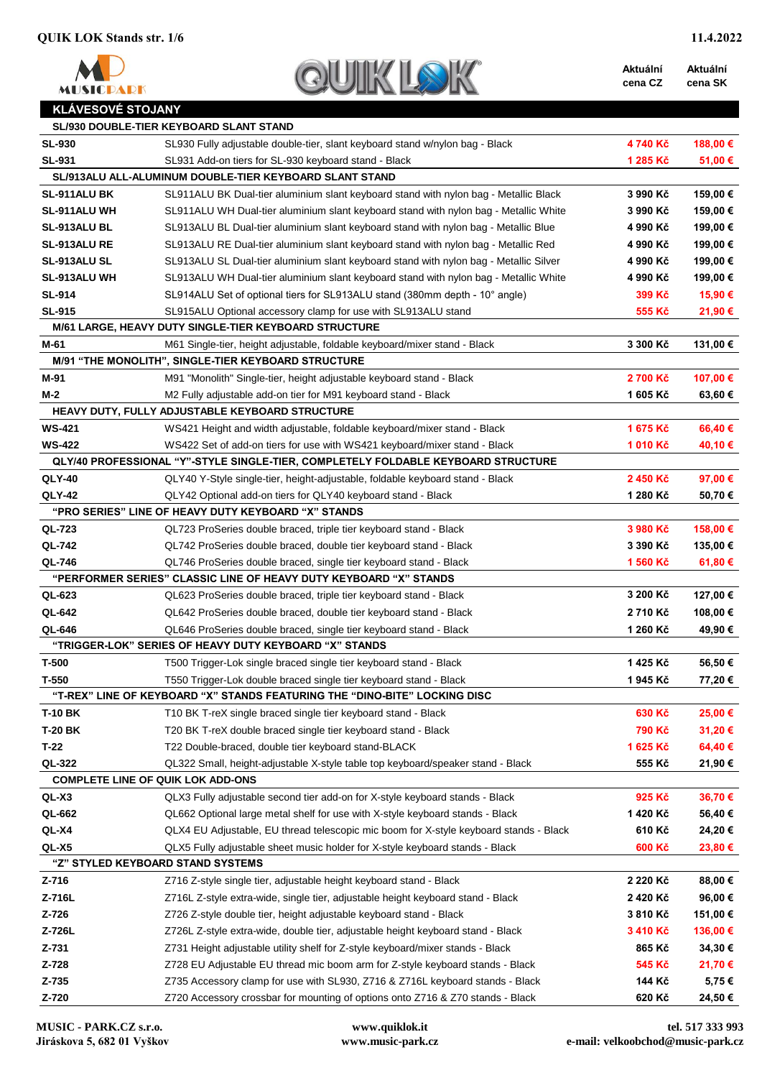

| QUIK |  |
|------|--|

**Aktuální cena CZ Aktuální cena SK**

## **KLÁVESOVÉ STOJANY**

|                                          | <b>SL/930 DOUBLE-TIER KEYBOARD SLANT STAND</b>                                        |          |          |
|------------------------------------------|---------------------------------------------------------------------------------------|----------|----------|
| <b>SL-930</b>                            | SL930 Fully adjustable double-tier, slant keyboard stand w/nylon bag - Black          | 4740 Kč  | 188,00 € |
| <b>SL-931</b>                            | SL931 Add-on tiers for SL-930 keyboard stand - Black                                  | 1 285 Kč | 51,00 €  |
|                                          | SL/913ALU ALL-ALUMINUM DOUBLE-TIER KEYBOARD SLANT STAND                               |          |          |
| SL-911ALU BK                             | SL911ALU BK Dual-tier aluminium slant keyboard stand with nylon bag - Metallic Black  | 3 990 Kč | 159,00 € |
| SL-911ALU WH                             | SL911ALU WH Dual-tier aluminium slant keyboard stand with nylon bag - Metallic White  | 3 990 Kč | 159,00 € |
| <b>SL-913ALU BL</b>                      | SL913ALU BL Dual-tier aluminium slant keyboard stand with nylon bag - Metallic Blue   | 4 990 Kč | 199,00 € |
| SL-913ALU RE                             | SL913ALU RE Dual-tier aluminium slant keyboard stand with nylon bag - Metallic Red    | 4 990 Kč | 199,00 € |
| SL-913ALU SL                             | SL913ALU SL Dual-tier aluminium slant keyboard stand with nylon bag - Metallic Silver | 4 990 Kč | 199,00 € |
| SL-913ALU WH                             | SL913ALU WH Dual-tier aluminium slant keyboard stand with nylon bag - Metallic White  | 4 990 Kč | 199,00 € |
| <b>SL-914</b>                            | SL914ALU Set of optional tiers for SL913ALU stand (380mm depth - 10° angle)           | 399 Kč   | 15,90 €  |
| <b>SL-915</b>                            | SL915ALU Optional accessory clamp for use with SL913ALU stand                         | 555 Kč   | 21,90 €  |
|                                          | M/61 LARGE, HEAVY DUTY SINGLE-TIER KEYBOARD STRUCTURE                                 |          |          |
| M-61                                     | M61 Single-tier, height adjustable, foldable keyboard/mixer stand - Black             | 3 300 Kč | 131,00 € |
|                                          | M/91 "THE MONOLITH", SINGLE-TIER KEYBOARD STRUCTURE                                   |          |          |
| M-91                                     | M91 "Monolith" Single-tier, height adjustable keyboard stand - Black                  | 2700 Kč  | 107,00€  |
| M-2                                      | M2 Fully adjustable add-on tier for M91 keyboard stand - Black                        | 1 605 Kč | 63,60€   |
|                                          | HEAVY DUTY, FULLY ADJUSTABLE KEYBOARD STRUCTURE                                       |          |          |
| <b>WS-421</b>                            | WS421 Height and width adjustable, foldable keyboard/mixer stand - Black              | 1675 Kč  | 66,40€   |
| <b>WS-422</b>                            | WS422 Set of add-on tiers for use with WS421 keyboard/mixer stand - Black             | 1010 Kč  | 40,10 €  |
|                                          | QLY/40 PROFESSIONAL "Y"-STYLE SINGLE-TIER, COMPLETELY FOLDABLE KEYBOARD STRUCTURE     |          |          |
| <b>QLY-40</b>                            | QLY40 Y-Style single-tier, height-adjustable, foldable keyboard stand - Black         | 2450 Kč  | 97,00 €  |
| <b>QLY-42</b>                            | QLY42 Optional add-on tiers for QLY40 keyboard stand - Black                          | 1 280 Kč | 50,70€   |
|                                          | "PRO SERIES" LINE OF HEAVY DUTY KEYBOARD "X" STANDS                                   |          |          |
| QL-723                                   | QL723 ProSeries double braced, triple tier keyboard stand - Black                     | 3 980 Kč | 158,00 € |
| QL-742                                   | QL742 ProSeries double braced, double tier keyboard stand - Black                     | 3 390 Kč | 135,00 € |
| <b>QL-746</b>                            | QL746 ProSeries double braced, single tier keyboard stand - Black                     | 1 560 Kč | 61,80 €  |
|                                          | "PERFORMER SERIES" CLASSIC LINE OF HEAVY DUTY KEYBOARD "X" STANDS                     |          |          |
| QL-623                                   | QL623 ProSeries double braced, triple tier keyboard stand - Black                     | 3 200 Kč | 127,00 € |
| QL-642                                   | QL642 ProSeries double braced, double tier keyboard stand - Black                     | 2710 Kč  | 108,00€  |
| QL-646                                   | QL646 ProSeries double braced, single tier keyboard stand - Black                     | 1 260 Kč | 49,90 €  |
|                                          | "TRIGGER-LOK" SERIES OF HEAVY DUTY KEYBOARD "X" STANDS                                |          |          |
| T-500                                    | T500 Trigger-Lok single braced single tier keyboard stand - Black                     | 1425 Kč  | 56,50€   |
| T-550                                    | T550 Trigger-Lok double braced single tier keyboard stand - Black                     | 1945 Kč  | 77,20€   |
|                                          | "T-REX" LINE OF KEYBOARD "X" STANDS FEATURING THE "DINO-BITE" LOCKING DISC            |          |          |
| <b>T-10 BK</b>                           | T10 BK T-reX single braced single tier keyboard stand - Black                         | 630 Kč   | 25,00 €  |
| <b>T-20 BK</b>                           | T20 BK T-reX double braced single tier keyboard stand - Black                         | 790 Kč   | 31,20€   |
| $T-22$                                   | T22 Double-braced, double tier keyboard stand-BLACK                                   | 1625 Kč  | 64,40€   |
| QL-322                                   | QL322 Small, height-adjustable X-style table top keyboard/speaker stand - Black       | 555 Kč   | 21,90 €  |
| <b>COMPLETE LINE OF QUIK LOK ADD-ONS</b> |                                                                                       |          |          |
| QL-X3                                    | QLX3 Fully adjustable second tier add-on for X-style keyboard stands - Black          | 925 Kč   | 36,70€   |
| QL-662                                   | QL662 Optional large metal shelf for use with X-style keyboard stands - Black         | 1420 Kč  | 56,40 €  |
| QL-X4                                    | QLX4 EU Adjustable, EU thread telescopic mic boom for X-style keyboard stands - Black | 610 Kč   | 24,20€   |
| QL-X5                                    | QLX5 Fully adjustable sheet music holder for X-style keyboard stands - Black          | 600 Kč   | 23,80 €  |
| "Z" STYLED KEYBOARD STAND SYSTEMS        |                                                                                       |          |          |
| Z-716                                    | Z716 Z-style single tier, adjustable height keyboard stand - Black                    | 2 220 Kč | 88,00 €  |
| Z-716L                                   | Z716L Z-style extra-wide, single tier, adjustable height keyboard stand - Black       | 2 420 Kč | 96,00 €  |
| Z-726                                    | Z726 Z-style double tier, height adjustable keyboard stand - Black                    | 3810 Kč  | 151,00 € |
| Z-726L                                   | Z726L Z-style extra-wide, double tier, adjustable height keyboard stand - Black       | 3 410 Kč | 136,00€  |
| Z-731                                    | Z731 Height adjustable utility shelf for Z-style keyboard/mixer stands - Black        | 865 Kč   | 34,30 €  |
| Z-728                                    | Z728 EU Adjustable EU thread mic boom arm for Z-style keyboard stands - Black         | 545 Kč   | 21,70 €  |
| Z-735                                    | Z735 Accessory clamp for use with SL930, Z716 & Z716L keyboard stands - Black         | 144 Kč   | 5,75€    |
| Z-720                                    | Z720 Accessory crossbar for mounting of options onto Z716 & Z70 stands - Black        | 620 Kč   | 24,50 €  |
|                                          |                                                                                       |          |          |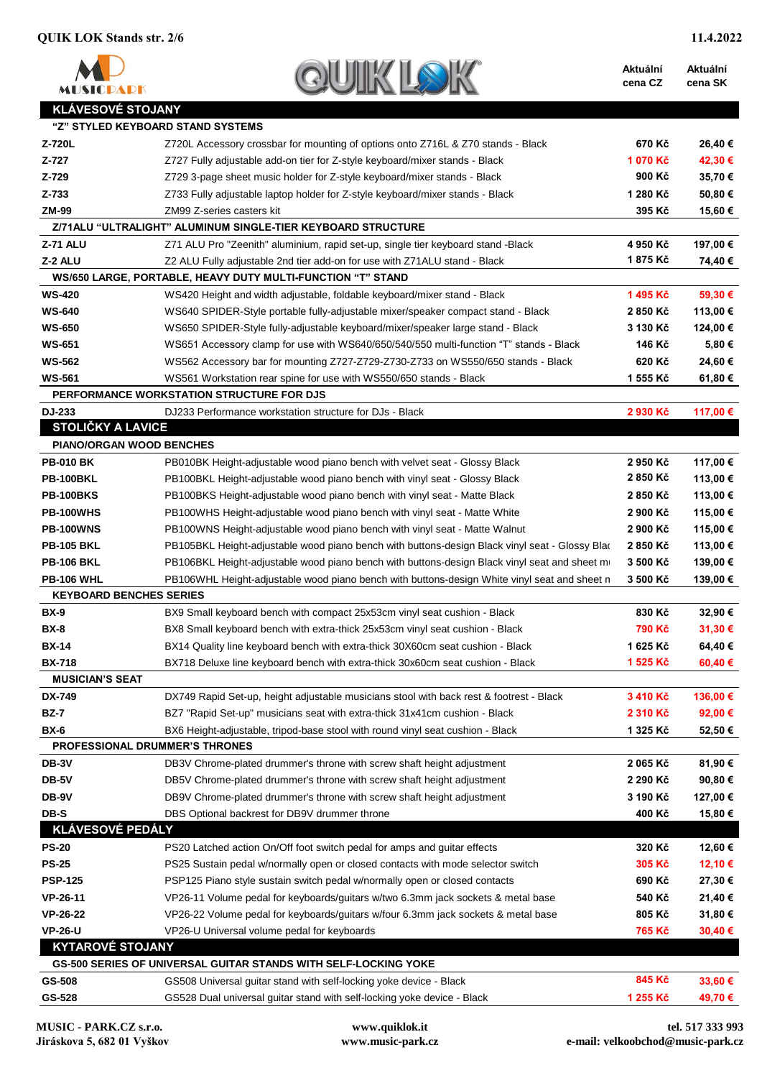| <b>MISICDADK</b>   |
|--------------------|
| KI ÁVESOVÉ STOJANY |

| Aktuální | <b>Aktuální</b> |
|----------|-----------------|
| cena CZ  | cena SK         |
|          |                 |

| \}\\}\\}\\}\\}\\}\\}\\}\\}\\}\\}\ | "Z" STYLED KEYBOARD STAND SYSTEMS                                                              |                  |          |
|-----------------------------------|------------------------------------------------------------------------------------------------|------------------|----------|
| Z-720L                            | Z720L Accessory crossbar for mounting of options onto Z716L & Z70 stands - Black               | 670 Kč           | 26,40 €  |
| Z-727                             | Z727 Fully adjustable add-on tier for Z-style keyboard/mixer stands - Black                    | 1 070 Kč         | 42,30 €  |
| Z-729                             | Z729 3-page sheet music holder for Z-style keyboard/mixer stands - Black                       | 900 Kč           | 35,70€   |
| Z-733                             | Z733 Fully adjustable laptop holder for Z-style keyboard/mixer stands - Black                  | 1 280 Kč         | 50,80 €  |
| <b>ZM-99</b>                      | ZM99 Z-series casters kit                                                                      | 395 Kč           | 15,60 €  |
|                                   | Z/71ALU "ULTRALIGHT" ALUMINUM SINGLE-TIER KEYBOARD STRUCTURE                                   |                  |          |
| <b>Z-71 ALU</b>                   | Z71 ALU Pro "Zeenith" aluminium, rapid set-up, single tier keyboard stand -Black               | 4 950 Kč         | 197,00 € |
| Z-2 ALU                           | Z2 ALU Fully adjustable 2nd tier add-on for use with Z71ALU stand - Black                      | 1875 Kč          | 74,40 €  |
|                                   | WS/650 LARGE, PORTABLE, HEAVY DUTY MULTI-FUNCTION "T" STAND                                    |                  |          |
| <b>WS-420</b>                     | WS420 Height and width adjustable, foldable keyboard/mixer stand - Black                       | 1495 Kč          | 59,30 €  |
| <b>WS-640</b>                     | WS640 SPIDER-Style portable fully-adjustable mixer/speaker compact stand - Black               | 2 850 Kč         | 113,00 € |
| <b>WS-650</b>                     | WS650 SPIDER-Style fully-adjustable keyboard/mixer/speaker large stand - Black                 | 3 130 Kč         | 124,00 € |
| <b>WS-651</b>                     | WS651 Accessory clamp for use with WS640/650/540/550 multi-function "T" stands - Black         | 146 Kč           | 5,80€    |
| <b>WS-562</b>                     | WS562 Accessory bar for mounting Z727-Z729-Z730-Z733 on WS550/650 stands - Black               | 620 Kč           | 24,60 €  |
| <b>WS-561</b>                     | WS561 Workstation rear spine for use with WS550/650 stands - Black                             | 1 555 Kč         | 61,80 €  |
|                                   | PERFORMANCE WORKSTATION STRUCTURE FOR DJS                                                      |                  |          |
| DJ-233                            | DJ233 Performance workstation structure for DJs - Black                                        | 2 930 Kč         | 117,00 € |
| <b>STOLIČKY A LAVICE</b>          |                                                                                                |                  |          |
| <b>PIANO/ORGAN WOOD BENCHES</b>   |                                                                                                |                  |          |
| <b>PB-010 BK</b>                  | PB010BK Height-adjustable wood piano bench with velvet seat - Glossy Black                     | 2 950 Kč         | 117,00 € |
| PB-100BKL                         | PB100BKL Height-adjustable wood piano bench with vinyl seat - Glossy Black                     | 2850 Kč          | 113,00 € |
| <b>PB-100BKS</b>                  | PB100BKS Height-adjustable wood piano bench with vinyl seat - Matte Black                      | 2850 Kč          | 113,00 € |
| PB-100WHS                         | PB100WHS Height-adjustable wood piano bench with vinyl seat - Matte White                      | 2 900 Kč         | 115,00 € |
| <b>PB-100WNS</b>                  | PB100WNS Height-adjustable wood piano bench with vinyl seat - Matte Walnut                     | 2 900 Kč         | 115,00 € |
| <b>PB-105 BKL</b>                 | PB105BKL Height-adjustable wood piano bench with buttons-design Black vinyl seat - Glossy Blac | 2 850 Kč         | 113,00 € |
| <b>PB-106 BKL</b>                 | PB106BKL Height-adjustable wood piano bench with buttons-design Black vinyl seat and sheet m   | 3 500 Kč         | 139,00 € |
| <b>PB-106 WHL</b>                 | PB106WHL Height-adjustable wood piano bench with buttons-design White vinyl seat and sheet n   | 3 500 Kč         | 139,00 € |
| <b>KEYBOARD BENCHES SERIES</b>    |                                                                                                |                  |          |
| <b>BX-9</b>                       | BX9 Small keyboard bench with compact 25x53cm vinyl seat cushion - Black                       | 830 Kč           | 32,90 €  |
| <b>BX-8</b>                       | BX8 Small keyboard bench with extra-thick 25x53cm vinyl seat cushion - Black                   | 790 Kč           | 31,30 €  |
| <b>BX-14</b>                      | BX14 Quality line keyboard bench with extra-thick 30X60cm seat cushion - Black                 | 1 625 Kč         | 64,40€   |
| <b>BX-718</b>                     | BX718 Deluxe line keyboard bench with extra-thick 30x60cm seat cushion - Black                 | 1 525 Kč         | 60,40 €  |
| <b>MUSICIAN'S SEAT</b>            |                                                                                                |                  |          |
| DX-749                            | DX749 Rapid Set-up, height adjustable musicians stool with back rest & footrest - Black        | 3 410 Kč         | 136,00 € |
| <b>BZ-7</b>                       | BZ7 "Rapid Set-up" musicians seat with extra-thick 31x41cm cushion - Black                     | 2 310 Kč         | 92,00 €  |
| <b>BX-6</b>                       | BX6 Height-adjustable, tripod-base stool with round vinyl seat cushion - Black                 | 1 325 Kč         | 52,50 €  |
|                                   | PROFESSIONAL DRUMMER'S THRONES                                                                 |                  |          |
| DB-3V                             | DB3V Chrome-plated drummer's throne with screw shaft height adjustment                         | 2 065 Kč         | 81,90 €  |
| DB-5V                             | DB5V Chrome-plated drummer's throne with screw shaft height adjustment                         | 2 290 Kč         | 90,80 €  |
| DB-9V                             | DB9V Chrome-plated drummer's throne with screw shaft height adjustment                         | 3 190 Kč         | 127,00 € |
| DB-S                              | DBS Optional backrest for DB9V drummer throne                                                  | 400 Kč           | 15,80 €  |
| KLÁVESOVÉ PEDÁLY                  |                                                                                                |                  |          |
| <b>PS-20</b>                      | PS20 Latched action On/Off foot switch pedal for amps and guitar effects                       | 320 Kč           | 12,60 €  |
| <b>PS-25</b>                      | PS25 Sustain pedal w/normally open or closed contacts with mode selector switch                | 305 Kč           | 12,10 €  |
| <b>PSP-125</b>                    | PSP125 Piano style sustain switch pedal w/normally open or closed contacts                     | 690 Kč           | 27,30 €  |
| VP-26-11                          | VP26-11 Volume pedal for keyboards/guitars w/two 6.3mm jack sockets & metal base               | 540 Kč           | 21,40 €  |
| <b>VP-26-22</b>                   |                                                                                                |                  |          |
| <b>VP-26-U</b>                    | VP26-22 Volume pedal for keyboards/guitars w/four 6.3mm jack sockets & metal base              | 805 Kč<br>765 Kč | 31,80 €  |
| <b>KYTAROVÉ STOJANY</b>           | VP26-U Universal volume pedal for keyboards                                                    |                  | 30,40 €  |
|                                   | GS-500 SERIES OF UNIVERSAL GUITAR STANDS WITH SELF-LOCKING YOKE                                |                  |          |
| GS-508                            | GS508 Universal guitar stand with self-locking yoke device - Black                             | 845 Kč           | 33,60 €  |
| GS-528                            | GS528 Dual universal guitar stand with self-locking yoke device - Black                        | 1 255 Kč         |          |
|                                   |                                                                                                |                  | 49,70 €  |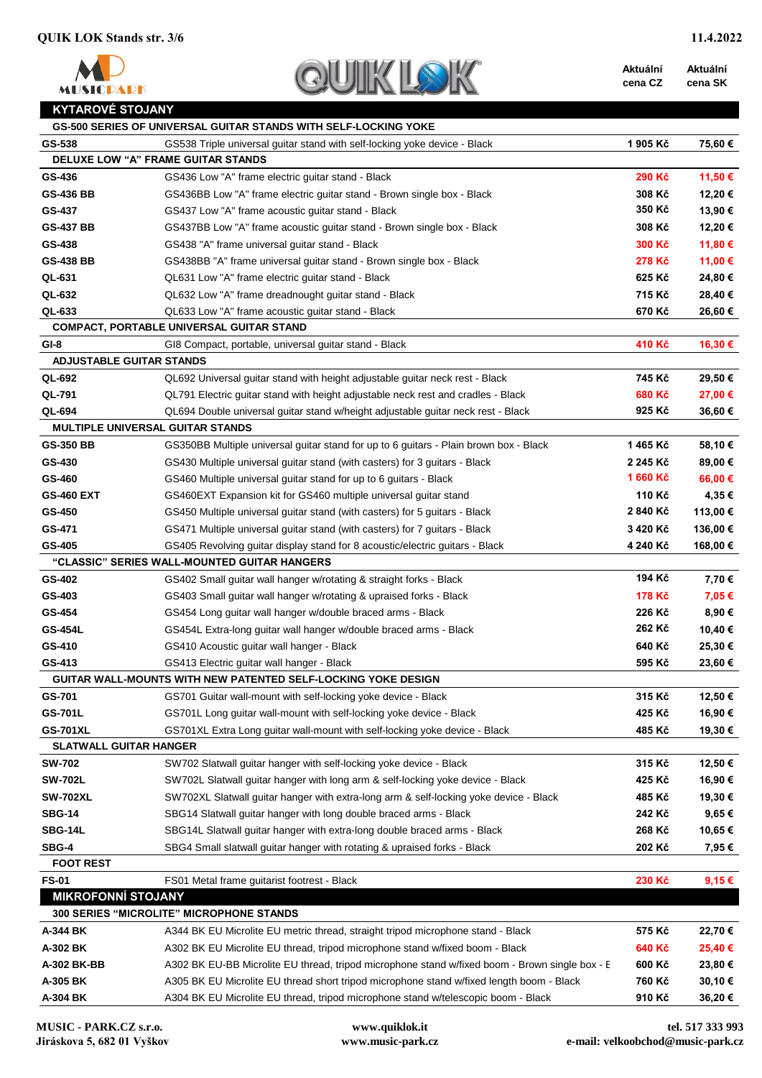

| $\bigcirc$ | UIK |  |
|------------|-----|--|
|            |     |  |

**Aktuální cena CZ Aktuální cena SK**

| KYTAROVË STOJANY |  |  |
|------------------|--|--|
|                  |  |  |

|                                 | GS-500 SERIES OF UNIVERSAL GUITAR STANDS WITH SELF-LOCKING YOKE                                |               |          |
|---------------------------------|------------------------------------------------------------------------------------------------|---------------|----------|
| GS-538                          | GS538 Triple universal guitar stand with self-locking yoke device - Black                      | 1905 Kč       | 75,60 €  |
|                                 | DELUXE LOW "A" FRAME GUITAR STANDS                                                             |               |          |
| GS-436                          | GS436 Low "A" frame electric guitar stand - Black                                              | 290 Kč        | 11,50 €  |
| <b>GS-436 BB</b>                | GS436BB Low "A" frame electric guitar stand - Brown single box - Black                         | 308 Kč        | 12,20€   |
| GS-437                          | GS437 Low "A" frame acoustic guitar stand - Black                                              | 350 Kč        | 13,90 €  |
| <b>GS-437 BB</b>                | GS437BB Low "A" frame acoustic guitar stand - Brown single box - Black                         | 308 Kč        | 12,20€   |
| GS-438                          | GS438 "A" frame universal guitar stand - Black                                                 | 300 Kč        | 11,80 €  |
| <b>GS-438 BB</b>                | GS438BB "A" frame universal guitar stand - Brown single box - Black                            | 278 Kč        | 11,00 €  |
| QL-631                          | QL631 Low "A" frame electric guitar stand - Black                                              | 625 Kč        | 24,80 €  |
| QL-632                          | QL632 Low "A" frame dreadnought guitar stand - Black                                           | 715 Kč        | 28,40€   |
| QL-633                          | QL633 Low "A" frame acoustic guitar stand - Black                                              | 670 Kč        | 26,60 €  |
|                                 | COMPACT, PORTABLE UNIVERSAL GUITAR STAND                                                       |               |          |
| $GI-8$                          | GI8 Compact, portable, universal guitar stand - Black                                          | 410 Kč        | 16,30 €  |
| <b>ADJUSTABLE GUITAR STANDS</b> |                                                                                                |               |          |
| QL-692                          | QL692 Universal guitar stand with height adjustable guitar neck rest - Black                   | 745 Kč        | 29,50 €  |
| QL-791                          | QL791 Electric quitar stand with height adjustable neck rest and cradles - Black               | 680 Kč        | 27,00 €  |
| QL-694                          | QL694 Double universal guitar stand w/height adjustable guitar neck rest - Black               | 925 Kč        | 36,60€   |
|                                 | <b>MULTIPLE UNIVERSAL GUITAR STANDS</b>                                                        |               |          |
| <b>GS-350 BB</b>                | GS350BB Multiple universal guitar stand for up to 6 guitars - Plain brown box - Black          | 1465 Kč       | 58,10 €  |
| GS-430                          | GS430 Multiple universal guitar stand (with casters) for 3 guitars - Black                     | 2 245 Kč      | 89,00 €  |
| GS-460                          | GS460 Multiple universal guitar stand for up to 6 guitars - Black                              | 1660 Kč       | 66,00€   |
| <b>GS-460 EXT</b>               | GS460EXT Expansion kit for GS460 multiple universal guitar stand                               | 110 Kč        | 4,35 €   |
| GS-450                          | GS450 Multiple universal guitar stand (with casters) for 5 guitars - Black                     | 2840 Kč       | 113,00 € |
| GS-471                          | GS471 Multiple universal guitar stand (with casters) for 7 guitars - Black                     | 3 420 Kč      | 136,00 € |
| GS-405                          | GS405 Revolving guitar display stand for 8 acoustic/electric guitars - Black                   | 4 240 Kč      | 168,00 € |
|                                 | "CLASSIC" SERIES WALL-MOUNTED GUITAR HANGERS                                                   |               |          |
| GS-402                          | GS402 Small guitar wall hanger w/rotating & straight forks - Black                             | 194 Kč        | 7,70€    |
| GS-403                          | GS403 Small guitar wall hanger w/rotating & upraised forks - Black                             | <b>178 Kč</b> | 7,05 €   |
| GS-454                          | GS454 Long guitar wall hanger w/double braced arms - Black                                     | 226 Kč        | 8,90€    |
| <b>GS-454L</b>                  | GS454L Extra-long guitar wall hanger w/double braced arms - Black                              | 262 Kč        | 10,40 €  |
| GS-410                          | GS410 Acoustic guitar wall hanger - Black                                                      | 640 Kč        | 25,30€   |
| GS-413                          | GS413 Electric guitar wall hanger - Black                                                      | 595 Kč        | 23,60 €  |
|                                 | GUITAR WALL-MOUNTS WITH NEW PATENTED SELF-LOCKING YOKE DESIGN                                  |               |          |
| GS-701                          | GS701 Guitar wall-mount with self-locking yoke device - Black                                  | 315 Kč        | 12,50 €  |
| GS-701L                         | GS701L Long guitar wall-mount with self-locking yoke device - Black                            | 425 Kč        | 16,90 €  |
| <b>GS-701XL</b>                 | GS701XL Extra Long guitar wall-mount with self-locking yoke device - Black                     | 485 Kč        | 19,30 €  |
| <b>SLATWALL GUITAR HANGER</b>   |                                                                                                |               |          |
| <b>SW-702</b>                   | SW702 Slatwall guitar hanger with self-locking yoke device - Black                             | 315 Kč        | 12,50 €  |
| <b>SW-702L</b>                  | SW702L Slatwall guitar hanger with long arm & self-locking yoke device - Black                 | 425 Kč        | 16,90 €  |
| <b>SW-702XL</b>                 | SW702XL Slatwall guitar hanger with extra-long arm & self-locking yoke device - Black          | 485 Kč        | 19,30 €  |
| <b>SBG-14</b>                   | SBG14 Slatwall guitar hanger with long double braced arms - Black                              | 242 Kč        | 9,65€    |
| SBG-14L                         | SBG14L Slatwall guitar hanger with extra-long double braced arms - Black                       | 268 Kč        | 10,65 €  |
| SBG-4                           | SBG4 Small slatwall guitar hanger with rotating & upraised forks - Black                       | 202 Kč        | 7,95 €   |
| <b>FOOT REST</b>                |                                                                                                |               |          |
| <b>FS-01</b>                    | FS01 Metal frame guitarist footrest - Black                                                    | 230 Kč        | 9,15€    |
| <b>MIKROFONNÍ STOJANY</b>       |                                                                                                |               |          |
|                                 | <b>300 SERIES "MICROLITE" MICROPHONE STANDS</b>                                                |               |          |
| A-344 BK                        | A344 BK EU Microlite EU metric thread, straight tripod microphone stand - Black                | 575 Kč        | 22,70€   |
| A-302 BK                        | A302 BK EU Microlite EU thread, tripod microphone stand w/fixed boom - Black                   | 640 Kč        | 25,40 €  |
| A-302 BK-BB                     | A302 BK EU-BB Microlite EU thread, tripod microphone stand w/fixed boom - Brown single box - E | 600 Kč        | 23,80 €  |
| A-305 BK                        | A305 BK EU Microlite EU thread short tripod microphone stand w/fixed length boom - Black       | 760 Kč        | 30,10 €  |
| A-304 BK                        | A304 BK EU Microlite EU thread, tripod microphone stand w/telescopic boom - Black              | 910 Kč        | 36,20€   |
|                                 |                                                                                                |               |          |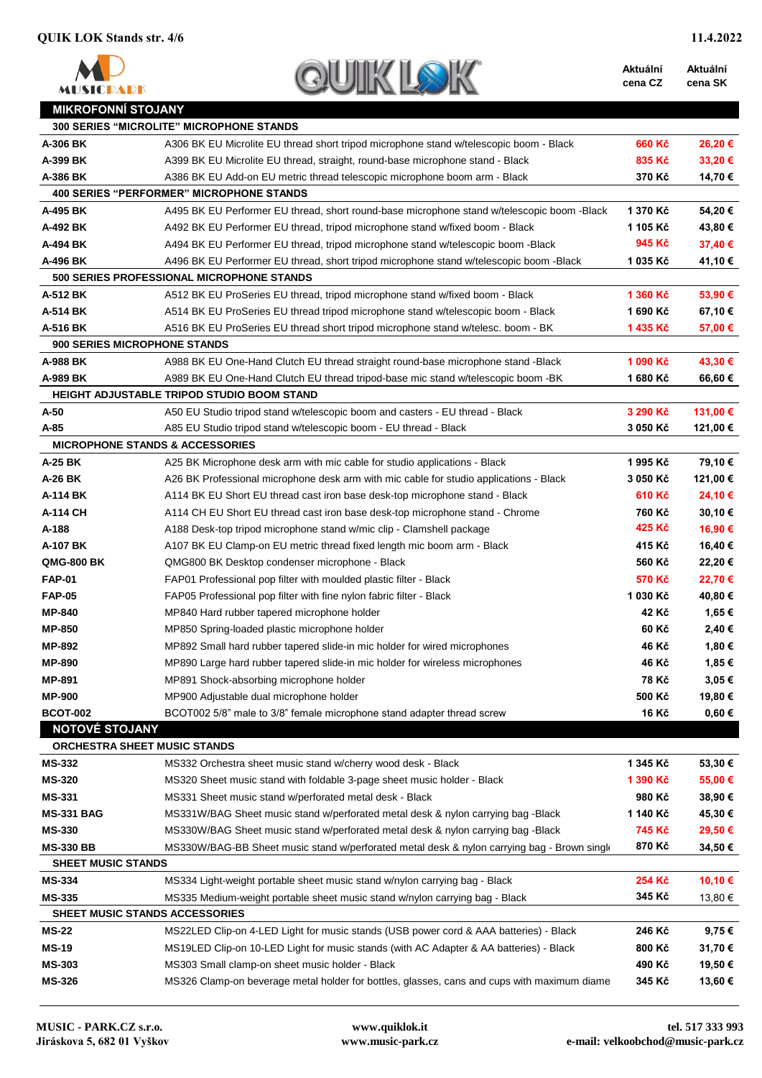

| <b>SUIK"</b> |  |  |
|--------------|--|--|
|              |  |  |

**Aktuální cena CZ**

| <b>MIKROFONNÍ STOJANY</b> |                                                                                             |          |            |
|---------------------------|---------------------------------------------------------------------------------------------|----------|------------|
|                           | <b>300 SERIES "MICROLITE" MICROPHONE STANDS</b>                                             |          |            |
| A-306 BK                  | A306 BK EU Microlite EU thread short tripod microphone stand w/telescopic boom - Black      | 660 Kč   | 26,20€     |
| A-399 BK                  | A399 BK EU Microlite EU thread, straight, round-base microphone stand - Black               | 835 Kč   | 33,20€     |
| A-386 BK                  | A386 BK EU Add-on EU metric thread telescopic microphone boom arm - Black                   | 370 Kč   | 14,70 €    |
|                           | <b>400 SERIES "PERFORMER" MICROPHONE STANDS</b>                                             |          |            |
| A-495 BK                  | A495 BK EU Performer EU thread, short round-base microphone stand w/telescopic boom -Black  | 1 370 Kč | 54,20€     |
| A-492 BK                  | A492 BK EU Performer EU thread, tripod microphone stand w/fixed boom - Black                | 1 105 Kč | 43,80 €    |
| A-494 BK                  | A494 BK EU Performer EU thread, tripod microphone stand w/telescopic boom -Black            | 945 Kč   | 37,40 €    |
| A-496 BK                  | A496 BK EU Performer EU thread, short tripod microphone stand w/telescopic boom -Black      | 1 035 Kč | 41,10 €    |
|                           | <b>500 SERIES PROFESSIONAL MICROPHONE STANDS</b>                                            |          |            |
| A-512 BK                  | A512 BK EU ProSeries EU thread, tripod microphone stand w/fixed boom - Black                | 1 360 Kč | 53,90€     |
| A-514 BK                  | A514 BK EU ProSeries EU thread tripod microphone stand w/telescopic boom - Black            | 1 690 Kč | 67,10€     |
| A-516 BK                  | A516 BK EU ProSeries EU thread short tripod microphone stand w/telesc. boom - BK            | 1435 Kč  | 57,00 €    |
|                           | <b>900 SERIES MICROPHONE STANDS</b>                                                         |          |            |
| A-988 BK                  | A988 BK EU One-Hand Clutch EU thread straight round-base microphone stand -Black            | 1 090 Kč | 43,30 €    |
| A-989 BK                  | A989 BK EU One-Hand Clutch EU thread tripod-base mic stand w/telescopic boom -BK            | 1680 Kč  | 66,60€     |
|                           | HEIGHT ADJUSTABLE TRIPOD STUDIO BOOM STAND                                                  |          |            |
| A-50                      | A50 EU Studio tripod stand w/telescopic boom and casters - EU thread - Black                | 3 290 Kč | 131,00 €   |
| A-85                      | A85 EU Studio tripod stand w/telescopic boom - EU thread - Black                            | 3 050 Kč | 121,00 €   |
|                           | <b>MICROPHONE STANDS &amp; ACCESSORIES</b>                                                  |          |            |
| A-25 BK                   | A25 BK Microphone desk arm with mic cable for studio applications - Black                   | 1995 Kč  | 79,10€     |
| A-26 BK                   | A26 BK Professional microphone desk arm with mic cable for studio applications - Black      | 3 050 Kč | 121,00 €   |
| A-114 BK                  | A114 BK EU Short EU thread cast iron base desk-top microphone stand - Black                 | 610 Kč   | 24,10 €    |
| A-114 CH                  | A114 CH EU Short EU thread cast iron base desk-top microphone stand - Chrome                | 760 Kč   | 30,10€     |
| A-188                     | A188 Desk-top tripod microphone stand w/mic clip - Clamshell package                        | 425 Kč   | 16,90 €    |
| A-107 BK                  | A107 BK EU Clamp-on EU metric thread fixed length mic boom arm - Black                      | 415 Kč   | 16,40 €    |
| <b>QMG-800 BK</b>         | QMG800 BK Desktop condenser microphone - Black                                              | 560 Kč   | 22,20€     |
| <b>FAP-01</b>             | FAP01 Professional pop filter with moulded plastic filter - Black                           | 570 Kč   | 22,70 €    |
| <b>FAP-05</b>             | FAP05 Professional pop filter with fine nylon fabric filter - Black                         | 1 030 Kč | 40,80 €    |
| <b>MP-840</b>             | MP840 Hard rubber tapered microphone holder                                                 | 42 Kč    | 1,65 €     |
| <b>MP-850</b>             | MP850 Spring-loaded plastic microphone holder                                               | 60 Kč    | 2,40 €     |
| <b>MP-892</b>             | MP892 Small hard rubber tapered slide-in mic holder for wired microphones                   | 46 Kč    | 1,80 €     |
| <b>MP-890</b>             | MP890 Large hard rubber tapered slide-in mic holder for wireless microphones                | 46 Kč    | 1,85€      |
| <b>MP-891</b>             | MP891 Shock-absorbing microphone holder                                                     | 78 Kč    | 3,05€      |
| <b>MP-900</b>             | MP900 Adjustable dual microphone holder                                                     | 500 Kč   | 19,80 €    |
| <b>BCOT-002</b>           | BCOT002 5/8" male to 3/8" female microphone stand adapter thread screw                      | 16 Kč    | $0,60 \in$ |
| <b>NOTOVÉ STOJANY</b>     |                                                                                             |          |            |
|                           | ORCHESTRA SHEET MUSIC STANDS                                                                |          |            |
| <b>MS-332</b>             | MS332 Orchestra sheet music stand w/cherry wood desk - Black                                | 1 345 Kč | 53,30€     |
| <b>MS-320</b>             | MS320 Sheet music stand with foldable 3-page sheet music holder - Black                     | 1 390 Kč | 55,00€     |
| <b>MS-331</b>             | MS331 Sheet music stand w/perforated metal desk - Black                                     | 980 Kč   | 38,90 €    |
| <b>MS-331 BAG</b>         | MS331W/BAG Sheet music stand w/perforated metal desk & nylon carrying bag -Black            | 1 140 Kč | 45,30€     |
| <b>MS-330</b>             | MS330W/BAG Sheet music stand w/perforated metal desk & nylon carrying bag -Black            | 745 Kč   | 29,50 €    |
| <b>MS-330 BB</b>          | MS330W/BAG-BB Sheet music stand w/perforated metal desk & nylon carrying bag - Brown single | 870 Kč   | 34,50 €    |
| <b>SHEET MUSIC STANDS</b> |                                                                                             |          |            |
| <b>MS-334</b>             | MS334 Light-weight portable sheet music stand w/nylon carrying bag - Black                  | 254 Kč   | 10,10 €    |
| <b>MS-335</b>             | MS335 Medium-weight portable sheet music stand w/nylon carrying bag - Black                 | 345 Kč   | 13,80 €    |
|                           | SHEET MUSIC STANDS ACCESSORIES                                                              |          |            |
| <b>MS-22</b>              | MS22LED Clip-on 4-LED Light for music stands (USB power cord & AAA batteries) - Black       | 246 Kč   | 9,75€      |
| <b>MS-19</b>              | MS19LED Clip-on 10-LED Light for music stands (with AC Adapter & AA batteries) - Black      | 800 Kč   | 31,70€     |
| <b>MS-303</b>             | MS303 Small clamp-on sheet music holder - Black                                             | 490 Kč   | 19,50 €    |
| <b>MS-326</b>             | MS326 Clamp-on beverage metal holder for bottles, glasses, cans and cups with maximum diame | 345 Kč   | 13,60 €    |
|                           |                                                                                             |          |            |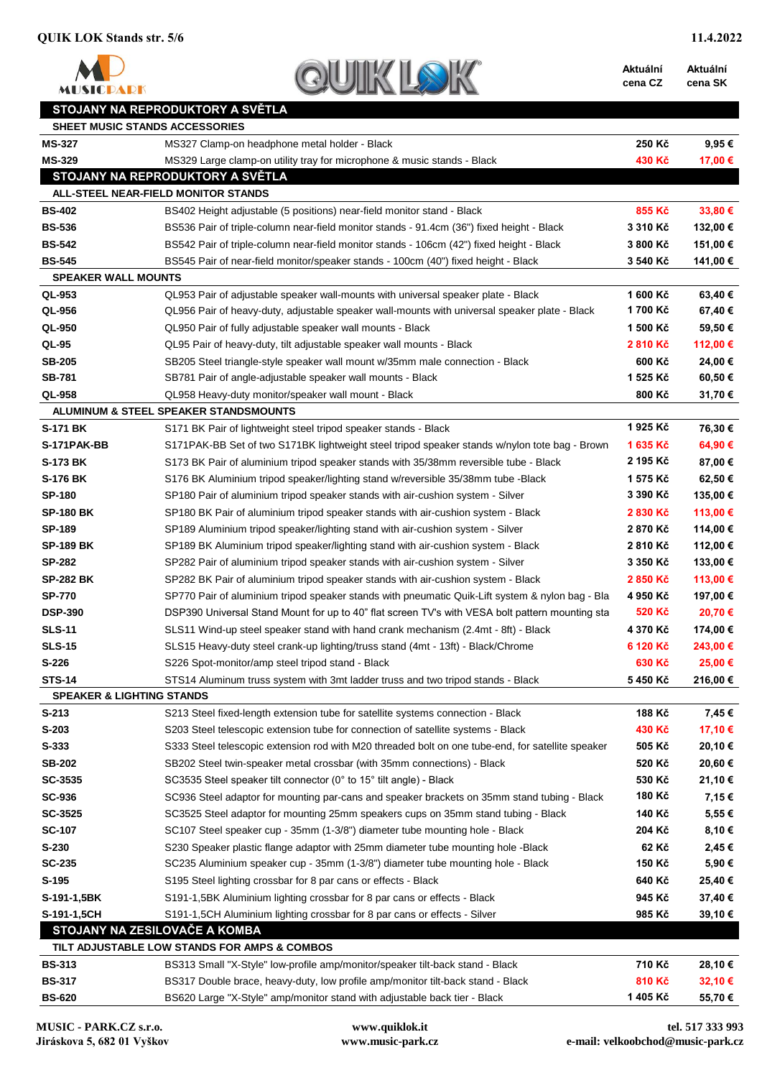**MUSICPARK** 



**Aktuální Aktuální** 

**cena CZ cena SK**

## **STOJANY NA REPRODUKTORY A SVĚTLA**

| <b>MS-327</b><br>MS327 Clamp-on headphone metal holder - Black<br>250 Kč<br>$9,95 \in$<br><b>MS-329</b><br>MS329 Large clamp-on utility tray for microphone & music stands - Black<br>430 Kč<br>17,00 €<br>STOJANY NA REPRODUKTORY A SVĚTLA<br>ALL-STEEL NEAR-FIELD MONITOR STANDS<br>855 Kč<br>33,80 €<br><b>BS-402</b><br>BS402 Height adjustable (5 positions) near-field monitor stand - Black<br><b>BS-536</b><br>3 310 Kč<br>132,00 €<br>BS536 Pair of triple-column near-field monitor stands - 91.4cm (36") fixed height - Black<br>151,00 €<br><b>BS-542</b><br>BS542 Pair of triple-column near-field monitor stands - 106cm (42") fixed height - Black<br>3 800 Kč<br>141,00 €<br><b>BS-545</b><br>BS545 Pair of near-field monitor/speaker stands - 100cm (40") fixed height - Black<br>3 540 Kč<br><b>SPEAKER WALL MOUNTS</b><br>QL-953<br>1 600 Kč<br>63,40 €<br>QL953 Pair of adjustable speaker wall-mounts with universal speaker plate - Black<br>1700 Kč<br>QL-956<br>67,40€<br>QL956 Pair of heavy-duty, adjustable speaker wall-mounts with universal speaker plate - Black<br>59,50€<br>QL-950<br>1 500 Kč<br>QL950 Pair of fully adjustable speaker wall mounts - Black<br>112,00 €<br>QL-95<br>QL95 Pair of heavy-duty, tilt adjustable speaker wall mounts - Black<br>2810 Kč<br>24,00 €<br><b>SB-205</b><br>600 Kč<br>SB205 Steel triangle-style speaker wall mount w/35mm male connection - Black<br><b>SB-781</b><br>1 525 Kč<br>60,50€<br>SB781 Pair of angle-adjustable speaker wall mounts - Black<br>31,70€<br>QL-958<br>800 Kč<br>QL958 Heavy-duty monitor/speaker wall mount - Black<br>ALUMINUM & STEEL SPEAKER STANDSMOUNTS<br>1925 Kč<br><b>S-171 BK</b><br>76,30 €<br>S171 BK Pair of lightweight steel tripod speaker stands - Black<br>1635 Kč<br>64,90 €<br>S-171PAK-BB<br>S171PAK-BB Set of two S171BK lightweight steel tripod speaker stands w/nylon tote bag - Brown<br>2 195 Kč<br><b>S-173 BK</b><br>87,00 €<br>S173 BK Pair of aluminium tripod speaker stands with 35/38mm reversible tube - Black<br><b>S-176 BK</b><br>1 575 Kč<br>62,50 €<br>S176 BK Aluminium tripod speaker/lighting stand w/reversible 35/38mm tube -Black<br>3 390 Kč<br>135,00 €<br><b>SP-180</b><br>SP180 Pair of aluminium tripod speaker stands with air-cushion system - Silver<br>113,00 €<br><b>SP-180 BK</b><br>2 830 Kč<br>SP180 BK Pair of aluminium tripod speaker stands with air-cushion system - Black<br>114,00 €<br><b>SP-189</b><br>2870 Kč<br>SP189 Aluminium tripod speaker/lighting stand with air-cushion system - Silver<br>112,00 €<br><b>SP-189 BK</b><br>2810 Kč<br>SP189 BK Aluminium tripod speaker/lighting stand with air-cushion system - Black<br><b>SP-282</b><br>3 350 Kč<br>133,00 €<br>SP282 Pair of aluminium tripod speaker stands with air-cushion system - Silver<br>113,00 €<br><b>SP-282 BK</b><br>2850 Kč<br>SP282 BK Pair of aluminium tripod speaker stands with air-cushion system - Black<br>197,00 €<br><b>SP-770</b><br>4 950 Kč<br>SP770 Pair of aluminium tripod speaker stands with pneumatic Quik-Lift system & nylon bag - Bla<br>520 Kč<br>20,70€<br><b>DSP-390</b><br>DSP390 Universal Stand Mount for up to 40" flat screen TV's with VESA bolt pattern mounting sta<br>174,00 €<br><b>SLS-11</b><br>4 370 Kč<br>SLS11 Wind-up steel speaker stand with hand crank mechanism (2.4mt - 8ft) - Black<br><b>SLS-15</b><br>6 120 Kč<br>243,00 €<br>SLS15 Heavy-duty steel crank-up lighting/truss stand (4mt - 13ft) - Black/Chrome<br>$S-226$<br>630 Kč<br>25,00 €<br>S226 Spot-monitor/amp steel tripod stand - Black<br>216,00€<br><b>STS-14</b><br>5450 Kč<br>STS14 Aluminum truss system with 3mt ladder truss and two tripod stands - Black<br><b>SPEAKER &amp; LIGHTING STANDS</b><br>188 Kč<br>7,45 €<br>$S-213$<br>S213 Steel fixed-length extension tube for satellite systems connection - Black<br>17,10 €<br>$S-203$<br>430 Kč<br>S203 Steel telescopic extension tube for connection of satellite systems - Black<br>S-333<br>505 Kč<br>20,10 €<br>S333 Steel telescopic extension rod with M20 threaded bolt on one tube-end, for satellite speaker<br>20,60€<br><b>SB-202</b><br>520 Kč<br>SB202 Steel twin-speaker metal crossbar (with 35mm connections) - Black<br>SC-3535<br>530 Kč<br>21,10€<br>SC3535 Steel speaker tilt connector (0° to 15° tilt angle) - Black<br>180 Kč<br><b>SC-936</b><br>7,15€<br>SC936 Steel adaptor for mounting par-cans and speaker brackets on 35mm stand tubing - Black<br>SC-3525<br>140 Kč<br>5,55€<br>SC3525 Steel adaptor for mounting 25mm speakers cups on 35mm stand tubing - Black<br><b>SC-107</b><br>204 Kč<br>8,10€<br>SC107 Steel speaker cup - 35mm (1-3/8") diameter tube mounting hole - Black<br>$S-230$<br>S230 Speaker plastic flange adaptor with 25mm diameter tube mounting hole -Black<br>62 Kč<br>2,45 €<br>150 Kč<br>5,90€<br><b>SC-235</b><br>SC235 Aluminium speaker cup - 35mm (1-3/8") diameter tube mounting hole - Black | <b>SHEET MUSIC STANDS ACCESSORIES</b> |                                                                |        |         |
|---------------------------------------------------------------------------------------------------------------------------------------------------------------------------------------------------------------------------------------------------------------------------------------------------------------------------------------------------------------------------------------------------------------------------------------------------------------------------------------------------------------------------------------------------------------------------------------------------------------------------------------------------------------------------------------------------------------------------------------------------------------------------------------------------------------------------------------------------------------------------------------------------------------------------------------------------------------------------------------------------------------------------------------------------------------------------------------------------------------------------------------------------------------------------------------------------------------------------------------------------------------------------------------------------------------------------------------------------------------------------------------------------------------------------------------------------------------------------------------------------------------------------------------------------------------------------------------------------------------------------------------------------------------------------------------------------------------------------------------------------------------------------------------------------------------------------------------------------------------------------------------------------------------------------------------------------------------------------------------------------------------------------------------------------------------------------------------------------------------------------------------------------------------------------------------------------------------------------------------------------------------------------------------------------------------------------------------------------------------------------------------------------------------------------------------------------------------------------------------------------------------------------------------------------------------------------------------------------------------------------------------------------------------------------------------------------------------------------------------------------------------------------------------------------------------------------------------------------------------------------------------------------------------------------------------------------------------------------------------------------------------------------------------------------------------------------------------------------------------------------------------------------------------------------------------------------------------------------------------------------------------------------------------------------------------------------------------------------------------------------------------------------------------------------------------------------------------------------------------------------------------------------------------------------------------------------------------------------------------------------------------------------------------------------------------------------------------------------------------------------------------------------------------------------------------------------------------------------------------------------------------------------------------------------------------------------------------------------------------------------------------------------------------------------------------------------------------------------------------------------------------------------------------------------------------------------------------------------------------------------------------------------------------------------------------------------------------------------------------------------------------------------------------------------------------------------------------------------------------------------------------------------------------------------------------------------------------------------------------------------------------------------------------------------------------------------------------------------------------------------------------------------------------------------------------------------------------------------------------------------------------------------------------------------------------------------------------------------------------|---------------------------------------|----------------------------------------------------------------|--------|---------|
|                                                                                                                                                                                                                                                                                                                                                                                                                                                                                                                                                                                                                                                                                                                                                                                                                                                                                                                                                                                                                                                                                                                                                                                                                                                                                                                                                                                                                                                                                                                                                                                                                                                                                                                                                                                                                                                                                                                                                                                                                                                                                                                                                                                                                                                                                                                                                                                                                                                                                                                                                                                                                                                                                                                                                                                                                                                                                                                                                                                                                                                                                                                                                                                                                                                                                                                                                                                                                                                                                                                                                                                                                                                                                                                                                                                                                                                                                                                                                                                                                                                                                                                                                                                                                                                                                                                                                                                                                                                                                                                                                                                                                                                                                                                                                                                                                                                                                                                                                                                       |                                       |                                                                |        |         |
|                                                                                                                                                                                                                                                                                                                                                                                                                                                                                                                                                                                                                                                                                                                                                                                                                                                                                                                                                                                                                                                                                                                                                                                                                                                                                                                                                                                                                                                                                                                                                                                                                                                                                                                                                                                                                                                                                                                                                                                                                                                                                                                                                                                                                                                                                                                                                                                                                                                                                                                                                                                                                                                                                                                                                                                                                                                                                                                                                                                                                                                                                                                                                                                                                                                                                                                                                                                                                                                                                                                                                                                                                                                                                                                                                                                                                                                                                                                                                                                                                                                                                                                                                                                                                                                                                                                                                                                                                                                                                                                                                                                                                                                                                                                                                                                                                                                                                                                                                                                       |                                       |                                                                |        |         |
|                                                                                                                                                                                                                                                                                                                                                                                                                                                                                                                                                                                                                                                                                                                                                                                                                                                                                                                                                                                                                                                                                                                                                                                                                                                                                                                                                                                                                                                                                                                                                                                                                                                                                                                                                                                                                                                                                                                                                                                                                                                                                                                                                                                                                                                                                                                                                                                                                                                                                                                                                                                                                                                                                                                                                                                                                                                                                                                                                                                                                                                                                                                                                                                                                                                                                                                                                                                                                                                                                                                                                                                                                                                                                                                                                                                                                                                                                                                                                                                                                                                                                                                                                                                                                                                                                                                                                                                                                                                                                                                                                                                                                                                                                                                                                                                                                                                                                                                                                                                       |                                       |                                                                |        |         |
|                                                                                                                                                                                                                                                                                                                                                                                                                                                                                                                                                                                                                                                                                                                                                                                                                                                                                                                                                                                                                                                                                                                                                                                                                                                                                                                                                                                                                                                                                                                                                                                                                                                                                                                                                                                                                                                                                                                                                                                                                                                                                                                                                                                                                                                                                                                                                                                                                                                                                                                                                                                                                                                                                                                                                                                                                                                                                                                                                                                                                                                                                                                                                                                                                                                                                                                                                                                                                                                                                                                                                                                                                                                                                                                                                                                                                                                                                                                                                                                                                                                                                                                                                                                                                                                                                                                                                                                                                                                                                                                                                                                                                                                                                                                                                                                                                                                                                                                                                                                       |                                       |                                                                |        |         |
|                                                                                                                                                                                                                                                                                                                                                                                                                                                                                                                                                                                                                                                                                                                                                                                                                                                                                                                                                                                                                                                                                                                                                                                                                                                                                                                                                                                                                                                                                                                                                                                                                                                                                                                                                                                                                                                                                                                                                                                                                                                                                                                                                                                                                                                                                                                                                                                                                                                                                                                                                                                                                                                                                                                                                                                                                                                                                                                                                                                                                                                                                                                                                                                                                                                                                                                                                                                                                                                                                                                                                                                                                                                                                                                                                                                                                                                                                                                                                                                                                                                                                                                                                                                                                                                                                                                                                                                                                                                                                                                                                                                                                                                                                                                                                                                                                                                                                                                                                                                       |                                       |                                                                |        |         |
|                                                                                                                                                                                                                                                                                                                                                                                                                                                                                                                                                                                                                                                                                                                                                                                                                                                                                                                                                                                                                                                                                                                                                                                                                                                                                                                                                                                                                                                                                                                                                                                                                                                                                                                                                                                                                                                                                                                                                                                                                                                                                                                                                                                                                                                                                                                                                                                                                                                                                                                                                                                                                                                                                                                                                                                                                                                                                                                                                                                                                                                                                                                                                                                                                                                                                                                                                                                                                                                                                                                                                                                                                                                                                                                                                                                                                                                                                                                                                                                                                                                                                                                                                                                                                                                                                                                                                                                                                                                                                                                                                                                                                                                                                                                                                                                                                                                                                                                                                                                       |                                       |                                                                |        |         |
|                                                                                                                                                                                                                                                                                                                                                                                                                                                                                                                                                                                                                                                                                                                                                                                                                                                                                                                                                                                                                                                                                                                                                                                                                                                                                                                                                                                                                                                                                                                                                                                                                                                                                                                                                                                                                                                                                                                                                                                                                                                                                                                                                                                                                                                                                                                                                                                                                                                                                                                                                                                                                                                                                                                                                                                                                                                                                                                                                                                                                                                                                                                                                                                                                                                                                                                                                                                                                                                                                                                                                                                                                                                                                                                                                                                                                                                                                                                                                                                                                                                                                                                                                                                                                                                                                                                                                                                                                                                                                                                                                                                                                                                                                                                                                                                                                                                                                                                                                                                       |                                       |                                                                |        |         |
|                                                                                                                                                                                                                                                                                                                                                                                                                                                                                                                                                                                                                                                                                                                                                                                                                                                                                                                                                                                                                                                                                                                                                                                                                                                                                                                                                                                                                                                                                                                                                                                                                                                                                                                                                                                                                                                                                                                                                                                                                                                                                                                                                                                                                                                                                                                                                                                                                                                                                                                                                                                                                                                                                                                                                                                                                                                                                                                                                                                                                                                                                                                                                                                                                                                                                                                                                                                                                                                                                                                                                                                                                                                                                                                                                                                                                                                                                                                                                                                                                                                                                                                                                                                                                                                                                                                                                                                                                                                                                                                                                                                                                                                                                                                                                                                                                                                                                                                                                                                       |                                       |                                                                |        |         |
|                                                                                                                                                                                                                                                                                                                                                                                                                                                                                                                                                                                                                                                                                                                                                                                                                                                                                                                                                                                                                                                                                                                                                                                                                                                                                                                                                                                                                                                                                                                                                                                                                                                                                                                                                                                                                                                                                                                                                                                                                                                                                                                                                                                                                                                                                                                                                                                                                                                                                                                                                                                                                                                                                                                                                                                                                                                                                                                                                                                                                                                                                                                                                                                                                                                                                                                                                                                                                                                                                                                                                                                                                                                                                                                                                                                                                                                                                                                                                                                                                                                                                                                                                                                                                                                                                                                                                                                                                                                                                                                                                                                                                                                                                                                                                                                                                                                                                                                                                                                       |                                       |                                                                |        |         |
|                                                                                                                                                                                                                                                                                                                                                                                                                                                                                                                                                                                                                                                                                                                                                                                                                                                                                                                                                                                                                                                                                                                                                                                                                                                                                                                                                                                                                                                                                                                                                                                                                                                                                                                                                                                                                                                                                                                                                                                                                                                                                                                                                                                                                                                                                                                                                                                                                                                                                                                                                                                                                                                                                                                                                                                                                                                                                                                                                                                                                                                                                                                                                                                                                                                                                                                                                                                                                                                                                                                                                                                                                                                                                                                                                                                                                                                                                                                                                                                                                                                                                                                                                                                                                                                                                                                                                                                                                                                                                                                                                                                                                                                                                                                                                                                                                                                                                                                                                                                       |                                       |                                                                |        |         |
|                                                                                                                                                                                                                                                                                                                                                                                                                                                                                                                                                                                                                                                                                                                                                                                                                                                                                                                                                                                                                                                                                                                                                                                                                                                                                                                                                                                                                                                                                                                                                                                                                                                                                                                                                                                                                                                                                                                                                                                                                                                                                                                                                                                                                                                                                                                                                                                                                                                                                                                                                                                                                                                                                                                                                                                                                                                                                                                                                                                                                                                                                                                                                                                                                                                                                                                                                                                                                                                                                                                                                                                                                                                                                                                                                                                                                                                                                                                                                                                                                                                                                                                                                                                                                                                                                                                                                                                                                                                                                                                                                                                                                                                                                                                                                                                                                                                                                                                                                                                       |                                       |                                                                |        |         |
|                                                                                                                                                                                                                                                                                                                                                                                                                                                                                                                                                                                                                                                                                                                                                                                                                                                                                                                                                                                                                                                                                                                                                                                                                                                                                                                                                                                                                                                                                                                                                                                                                                                                                                                                                                                                                                                                                                                                                                                                                                                                                                                                                                                                                                                                                                                                                                                                                                                                                                                                                                                                                                                                                                                                                                                                                                                                                                                                                                                                                                                                                                                                                                                                                                                                                                                                                                                                                                                                                                                                                                                                                                                                                                                                                                                                                                                                                                                                                                                                                                                                                                                                                                                                                                                                                                                                                                                                                                                                                                                                                                                                                                                                                                                                                                                                                                                                                                                                                                                       |                                       |                                                                |        |         |
|                                                                                                                                                                                                                                                                                                                                                                                                                                                                                                                                                                                                                                                                                                                                                                                                                                                                                                                                                                                                                                                                                                                                                                                                                                                                                                                                                                                                                                                                                                                                                                                                                                                                                                                                                                                                                                                                                                                                                                                                                                                                                                                                                                                                                                                                                                                                                                                                                                                                                                                                                                                                                                                                                                                                                                                                                                                                                                                                                                                                                                                                                                                                                                                                                                                                                                                                                                                                                                                                                                                                                                                                                                                                                                                                                                                                                                                                                                                                                                                                                                                                                                                                                                                                                                                                                                                                                                                                                                                                                                                                                                                                                                                                                                                                                                                                                                                                                                                                                                                       |                                       |                                                                |        |         |
|                                                                                                                                                                                                                                                                                                                                                                                                                                                                                                                                                                                                                                                                                                                                                                                                                                                                                                                                                                                                                                                                                                                                                                                                                                                                                                                                                                                                                                                                                                                                                                                                                                                                                                                                                                                                                                                                                                                                                                                                                                                                                                                                                                                                                                                                                                                                                                                                                                                                                                                                                                                                                                                                                                                                                                                                                                                                                                                                                                                                                                                                                                                                                                                                                                                                                                                                                                                                                                                                                                                                                                                                                                                                                                                                                                                                                                                                                                                                                                                                                                                                                                                                                                                                                                                                                                                                                                                                                                                                                                                                                                                                                                                                                                                                                                                                                                                                                                                                                                                       |                                       |                                                                |        |         |
|                                                                                                                                                                                                                                                                                                                                                                                                                                                                                                                                                                                                                                                                                                                                                                                                                                                                                                                                                                                                                                                                                                                                                                                                                                                                                                                                                                                                                                                                                                                                                                                                                                                                                                                                                                                                                                                                                                                                                                                                                                                                                                                                                                                                                                                                                                                                                                                                                                                                                                                                                                                                                                                                                                                                                                                                                                                                                                                                                                                                                                                                                                                                                                                                                                                                                                                                                                                                                                                                                                                                                                                                                                                                                                                                                                                                                                                                                                                                                                                                                                                                                                                                                                                                                                                                                                                                                                                                                                                                                                                                                                                                                                                                                                                                                                                                                                                                                                                                                                                       |                                       |                                                                |        |         |
|                                                                                                                                                                                                                                                                                                                                                                                                                                                                                                                                                                                                                                                                                                                                                                                                                                                                                                                                                                                                                                                                                                                                                                                                                                                                                                                                                                                                                                                                                                                                                                                                                                                                                                                                                                                                                                                                                                                                                                                                                                                                                                                                                                                                                                                                                                                                                                                                                                                                                                                                                                                                                                                                                                                                                                                                                                                                                                                                                                                                                                                                                                                                                                                                                                                                                                                                                                                                                                                                                                                                                                                                                                                                                                                                                                                                                                                                                                                                                                                                                                                                                                                                                                                                                                                                                                                                                                                                                                                                                                                                                                                                                                                                                                                                                                                                                                                                                                                                                                                       |                                       |                                                                |        |         |
|                                                                                                                                                                                                                                                                                                                                                                                                                                                                                                                                                                                                                                                                                                                                                                                                                                                                                                                                                                                                                                                                                                                                                                                                                                                                                                                                                                                                                                                                                                                                                                                                                                                                                                                                                                                                                                                                                                                                                                                                                                                                                                                                                                                                                                                                                                                                                                                                                                                                                                                                                                                                                                                                                                                                                                                                                                                                                                                                                                                                                                                                                                                                                                                                                                                                                                                                                                                                                                                                                                                                                                                                                                                                                                                                                                                                                                                                                                                                                                                                                                                                                                                                                                                                                                                                                                                                                                                                                                                                                                                                                                                                                                                                                                                                                                                                                                                                                                                                                                                       |                                       |                                                                |        |         |
|                                                                                                                                                                                                                                                                                                                                                                                                                                                                                                                                                                                                                                                                                                                                                                                                                                                                                                                                                                                                                                                                                                                                                                                                                                                                                                                                                                                                                                                                                                                                                                                                                                                                                                                                                                                                                                                                                                                                                                                                                                                                                                                                                                                                                                                                                                                                                                                                                                                                                                                                                                                                                                                                                                                                                                                                                                                                                                                                                                                                                                                                                                                                                                                                                                                                                                                                                                                                                                                                                                                                                                                                                                                                                                                                                                                                                                                                                                                                                                                                                                                                                                                                                                                                                                                                                                                                                                                                                                                                                                                                                                                                                                                                                                                                                                                                                                                                                                                                                                                       |                                       |                                                                |        |         |
|                                                                                                                                                                                                                                                                                                                                                                                                                                                                                                                                                                                                                                                                                                                                                                                                                                                                                                                                                                                                                                                                                                                                                                                                                                                                                                                                                                                                                                                                                                                                                                                                                                                                                                                                                                                                                                                                                                                                                                                                                                                                                                                                                                                                                                                                                                                                                                                                                                                                                                                                                                                                                                                                                                                                                                                                                                                                                                                                                                                                                                                                                                                                                                                                                                                                                                                                                                                                                                                                                                                                                                                                                                                                                                                                                                                                                                                                                                                                                                                                                                                                                                                                                                                                                                                                                                                                                                                                                                                                                                                                                                                                                                                                                                                                                                                                                                                                                                                                                                                       |                                       |                                                                |        |         |
|                                                                                                                                                                                                                                                                                                                                                                                                                                                                                                                                                                                                                                                                                                                                                                                                                                                                                                                                                                                                                                                                                                                                                                                                                                                                                                                                                                                                                                                                                                                                                                                                                                                                                                                                                                                                                                                                                                                                                                                                                                                                                                                                                                                                                                                                                                                                                                                                                                                                                                                                                                                                                                                                                                                                                                                                                                                                                                                                                                                                                                                                                                                                                                                                                                                                                                                                                                                                                                                                                                                                                                                                                                                                                                                                                                                                                                                                                                                                                                                                                                                                                                                                                                                                                                                                                                                                                                                                                                                                                                                                                                                                                                                                                                                                                                                                                                                                                                                                                                                       |                                       |                                                                |        |         |
|                                                                                                                                                                                                                                                                                                                                                                                                                                                                                                                                                                                                                                                                                                                                                                                                                                                                                                                                                                                                                                                                                                                                                                                                                                                                                                                                                                                                                                                                                                                                                                                                                                                                                                                                                                                                                                                                                                                                                                                                                                                                                                                                                                                                                                                                                                                                                                                                                                                                                                                                                                                                                                                                                                                                                                                                                                                                                                                                                                                                                                                                                                                                                                                                                                                                                                                                                                                                                                                                                                                                                                                                                                                                                                                                                                                                                                                                                                                                                                                                                                                                                                                                                                                                                                                                                                                                                                                                                                                                                                                                                                                                                                                                                                                                                                                                                                                                                                                                                                                       |                                       |                                                                |        |         |
|                                                                                                                                                                                                                                                                                                                                                                                                                                                                                                                                                                                                                                                                                                                                                                                                                                                                                                                                                                                                                                                                                                                                                                                                                                                                                                                                                                                                                                                                                                                                                                                                                                                                                                                                                                                                                                                                                                                                                                                                                                                                                                                                                                                                                                                                                                                                                                                                                                                                                                                                                                                                                                                                                                                                                                                                                                                                                                                                                                                                                                                                                                                                                                                                                                                                                                                                                                                                                                                                                                                                                                                                                                                                                                                                                                                                                                                                                                                                                                                                                                                                                                                                                                                                                                                                                                                                                                                                                                                                                                                                                                                                                                                                                                                                                                                                                                                                                                                                                                                       |                                       |                                                                |        |         |
|                                                                                                                                                                                                                                                                                                                                                                                                                                                                                                                                                                                                                                                                                                                                                                                                                                                                                                                                                                                                                                                                                                                                                                                                                                                                                                                                                                                                                                                                                                                                                                                                                                                                                                                                                                                                                                                                                                                                                                                                                                                                                                                                                                                                                                                                                                                                                                                                                                                                                                                                                                                                                                                                                                                                                                                                                                                                                                                                                                                                                                                                                                                                                                                                                                                                                                                                                                                                                                                                                                                                                                                                                                                                                                                                                                                                                                                                                                                                                                                                                                                                                                                                                                                                                                                                                                                                                                                                                                                                                                                                                                                                                                                                                                                                                                                                                                                                                                                                                                                       |                                       |                                                                |        |         |
|                                                                                                                                                                                                                                                                                                                                                                                                                                                                                                                                                                                                                                                                                                                                                                                                                                                                                                                                                                                                                                                                                                                                                                                                                                                                                                                                                                                                                                                                                                                                                                                                                                                                                                                                                                                                                                                                                                                                                                                                                                                                                                                                                                                                                                                                                                                                                                                                                                                                                                                                                                                                                                                                                                                                                                                                                                                                                                                                                                                                                                                                                                                                                                                                                                                                                                                                                                                                                                                                                                                                                                                                                                                                                                                                                                                                                                                                                                                                                                                                                                                                                                                                                                                                                                                                                                                                                                                                                                                                                                                                                                                                                                                                                                                                                                                                                                                                                                                                                                                       |                                       |                                                                |        |         |
|                                                                                                                                                                                                                                                                                                                                                                                                                                                                                                                                                                                                                                                                                                                                                                                                                                                                                                                                                                                                                                                                                                                                                                                                                                                                                                                                                                                                                                                                                                                                                                                                                                                                                                                                                                                                                                                                                                                                                                                                                                                                                                                                                                                                                                                                                                                                                                                                                                                                                                                                                                                                                                                                                                                                                                                                                                                                                                                                                                                                                                                                                                                                                                                                                                                                                                                                                                                                                                                                                                                                                                                                                                                                                                                                                                                                                                                                                                                                                                                                                                                                                                                                                                                                                                                                                                                                                                                                                                                                                                                                                                                                                                                                                                                                                                                                                                                                                                                                                                                       |                                       |                                                                |        |         |
|                                                                                                                                                                                                                                                                                                                                                                                                                                                                                                                                                                                                                                                                                                                                                                                                                                                                                                                                                                                                                                                                                                                                                                                                                                                                                                                                                                                                                                                                                                                                                                                                                                                                                                                                                                                                                                                                                                                                                                                                                                                                                                                                                                                                                                                                                                                                                                                                                                                                                                                                                                                                                                                                                                                                                                                                                                                                                                                                                                                                                                                                                                                                                                                                                                                                                                                                                                                                                                                                                                                                                                                                                                                                                                                                                                                                                                                                                                                                                                                                                                                                                                                                                                                                                                                                                                                                                                                                                                                                                                                                                                                                                                                                                                                                                                                                                                                                                                                                                                                       |                                       |                                                                |        |         |
|                                                                                                                                                                                                                                                                                                                                                                                                                                                                                                                                                                                                                                                                                                                                                                                                                                                                                                                                                                                                                                                                                                                                                                                                                                                                                                                                                                                                                                                                                                                                                                                                                                                                                                                                                                                                                                                                                                                                                                                                                                                                                                                                                                                                                                                                                                                                                                                                                                                                                                                                                                                                                                                                                                                                                                                                                                                                                                                                                                                                                                                                                                                                                                                                                                                                                                                                                                                                                                                                                                                                                                                                                                                                                                                                                                                                                                                                                                                                                                                                                                                                                                                                                                                                                                                                                                                                                                                                                                                                                                                                                                                                                                                                                                                                                                                                                                                                                                                                                                                       |                                       |                                                                |        |         |
|                                                                                                                                                                                                                                                                                                                                                                                                                                                                                                                                                                                                                                                                                                                                                                                                                                                                                                                                                                                                                                                                                                                                                                                                                                                                                                                                                                                                                                                                                                                                                                                                                                                                                                                                                                                                                                                                                                                                                                                                                                                                                                                                                                                                                                                                                                                                                                                                                                                                                                                                                                                                                                                                                                                                                                                                                                                                                                                                                                                                                                                                                                                                                                                                                                                                                                                                                                                                                                                                                                                                                                                                                                                                                                                                                                                                                                                                                                                                                                                                                                                                                                                                                                                                                                                                                                                                                                                                                                                                                                                                                                                                                                                                                                                                                                                                                                                                                                                                                                                       |                                       |                                                                |        |         |
|                                                                                                                                                                                                                                                                                                                                                                                                                                                                                                                                                                                                                                                                                                                                                                                                                                                                                                                                                                                                                                                                                                                                                                                                                                                                                                                                                                                                                                                                                                                                                                                                                                                                                                                                                                                                                                                                                                                                                                                                                                                                                                                                                                                                                                                                                                                                                                                                                                                                                                                                                                                                                                                                                                                                                                                                                                                                                                                                                                                                                                                                                                                                                                                                                                                                                                                                                                                                                                                                                                                                                                                                                                                                                                                                                                                                                                                                                                                                                                                                                                                                                                                                                                                                                                                                                                                                                                                                                                                                                                                                                                                                                                                                                                                                                                                                                                                                                                                                                                                       |                                       |                                                                |        |         |
|                                                                                                                                                                                                                                                                                                                                                                                                                                                                                                                                                                                                                                                                                                                                                                                                                                                                                                                                                                                                                                                                                                                                                                                                                                                                                                                                                                                                                                                                                                                                                                                                                                                                                                                                                                                                                                                                                                                                                                                                                                                                                                                                                                                                                                                                                                                                                                                                                                                                                                                                                                                                                                                                                                                                                                                                                                                                                                                                                                                                                                                                                                                                                                                                                                                                                                                                                                                                                                                                                                                                                                                                                                                                                                                                                                                                                                                                                                                                                                                                                                                                                                                                                                                                                                                                                                                                                                                                                                                                                                                                                                                                                                                                                                                                                                                                                                                                                                                                                                                       |                                       |                                                                |        |         |
|                                                                                                                                                                                                                                                                                                                                                                                                                                                                                                                                                                                                                                                                                                                                                                                                                                                                                                                                                                                                                                                                                                                                                                                                                                                                                                                                                                                                                                                                                                                                                                                                                                                                                                                                                                                                                                                                                                                                                                                                                                                                                                                                                                                                                                                                                                                                                                                                                                                                                                                                                                                                                                                                                                                                                                                                                                                                                                                                                                                                                                                                                                                                                                                                                                                                                                                                                                                                                                                                                                                                                                                                                                                                                                                                                                                                                                                                                                                                                                                                                                                                                                                                                                                                                                                                                                                                                                                                                                                                                                                                                                                                                                                                                                                                                                                                                                                                                                                                                                                       |                                       |                                                                |        |         |
|                                                                                                                                                                                                                                                                                                                                                                                                                                                                                                                                                                                                                                                                                                                                                                                                                                                                                                                                                                                                                                                                                                                                                                                                                                                                                                                                                                                                                                                                                                                                                                                                                                                                                                                                                                                                                                                                                                                                                                                                                                                                                                                                                                                                                                                                                                                                                                                                                                                                                                                                                                                                                                                                                                                                                                                                                                                                                                                                                                                                                                                                                                                                                                                                                                                                                                                                                                                                                                                                                                                                                                                                                                                                                                                                                                                                                                                                                                                                                                                                                                                                                                                                                                                                                                                                                                                                                                                                                                                                                                                                                                                                                                                                                                                                                                                                                                                                                                                                                                                       |                                       |                                                                |        |         |
|                                                                                                                                                                                                                                                                                                                                                                                                                                                                                                                                                                                                                                                                                                                                                                                                                                                                                                                                                                                                                                                                                                                                                                                                                                                                                                                                                                                                                                                                                                                                                                                                                                                                                                                                                                                                                                                                                                                                                                                                                                                                                                                                                                                                                                                                                                                                                                                                                                                                                                                                                                                                                                                                                                                                                                                                                                                                                                                                                                                                                                                                                                                                                                                                                                                                                                                                                                                                                                                                                                                                                                                                                                                                                                                                                                                                                                                                                                                                                                                                                                                                                                                                                                                                                                                                                                                                                                                                                                                                                                                                                                                                                                                                                                                                                                                                                                                                                                                                                                                       |                                       |                                                                |        |         |
|                                                                                                                                                                                                                                                                                                                                                                                                                                                                                                                                                                                                                                                                                                                                                                                                                                                                                                                                                                                                                                                                                                                                                                                                                                                                                                                                                                                                                                                                                                                                                                                                                                                                                                                                                                                                                                                                                                                                                                                                                                                                                                                                                                                                                                                                                                                                                                                                                                                                                                                                                                                                                                                                                                                                                                                                                                                                                                                                                                                                                                                                                                                                                                                                                                                                                                                                                                                                                                                                                                                                                                                                                                                                                                                                                                                                                                                                                                                                                                                                                                                                                                                                                                                                                                                                                                                                                                                                                                                                                                                                                                                                                                                                                                                                                                                                                                                                                                                                                                                       |                                       |                                                                |        |         |
|                                                                                                                                                                                                                                                                                                                                                                                                                                                                                                                                                                                                                                                                                                                                                                                                                                                                                                                                                                                                                                                                                                                                                                                                                                                                                                                                                                                                                                                                                                                                                                                                                                                                                                                                                                                                                                                                                                                                                                                                                                                                                                                                                                                                                                                                                                                                                                                                                                                                                                                                                                                                                                                                                                                                                                                                                                                                                                                                                                                                                                                                                                                                                                                                                                                                                                                                                                                                                                                                                                                                                                                                                                                                                                                                                                                                                                                                                                                                                                                                                                                                                                                                                                                                                                                                                                                                                                                                                                                                                                                                                                                                                                                                                                                                                                                                                                                                                                                                                                                       |                                       |                                                                |        |         |
|                                                                                                                                                                                                                                                                                                                                                                                                                                                                                                                                                                                                                                                                                                                                                                                                                                                                                                                                                                                                                                                                                                                                                                                                                                                                                                                                                                                                                                                                                                                                                                                                                                                                                                                                                                                                                                                                                                                                                                                                                                                                                                                                                                                                                                                                                                                                                                                                                                                                                                                                                                                                                                                                                                                                                                                                                                                                                                                                                                                                                                                                                                                                                                                                                                                                                                                                                                                                                                                                                                                                                                                                                                                                                                                                                                                                                                                                                                                                                                                                                                                                                                                                                                                                                                                                                                                                                                                                                                                                                                                                                                                                                                                                                                                                                                                                                                                                                                                                                                                       |                                       |                                                                |        |         |
|                                                                                                                                                                                                                                                                                                                                                                                                                                                                                                                                                                                                                                                                                                                                                                                                                                                                                                                                                                                                                                                                                                                                                                                                                                                                                                                                                                                                                                                                                                                                                                                                                                                                                                                                                                                                                                                                                                                                                                                                                                                                                                                                                                                                                                                                                                                                                                                                                                                                                                                                                                                                                                                                                                                                                                                                                                                                                                                                                                                                                                                                                                                                                                                                                                                                                                                                                                                                                                                                                                                                                                                                                                                                                                                                                                                                                                                                                                                                                                                                                                                                                                                                                                                                                                                                                                                                                                                                                                                                                                                                                                                                                                                                                                                                                                                                                                                                                                                                                                                       |                                       |                                                                |        |         |
|                                                                                                                                                                                                                                                                                                                                                                                                                                                                                                                                                                                                                                                                                                                                                                                                                                                                                                                                                                                                                                                                                                                                                                                                                                                                                                                                                                                                                                                                                                                                                                                                                                                                                                                                                                                                                                                                                                                                                                                                                                                                                                                                                                                                                                                                                                                                                                                                                                                                                                                                                                                                                                                                                                                                                                                                                                                                                                                                                                                                                                                                                                                                                                                                                                                                                                                                                                                                                                                                                                                                                                                                                                                                                                                                                                                                                                                                                                                                                                                                                                                                                                                                                                                                                                                                                                                                                                                                                                                                                                                                                                                                                                                                                                                                                                                                                                                                                                                                                                                       |                                       |                                                                |        |         |
|                                                                                                                                                                                                                                                                                                                                                                                                                                                                                                                                                                                                                                                                                                                                                                                                                                                                                                                                                                                                                                                                                                                                                                                                                                                                                                                                                                                                                                                                                                                                                                                                                                                                                                                                                                                                                                                                                                                                                                                                                                                                                                                                                                                                                                                                                                                                                                                                                                                                                                                                                                                                                                                                                                                                                                                                                                                                                                                                                                                                                                                                                                                                                                                                                                                                                                                                                                                                                                                                                                                                                                                                                                                                                                                                                                                                                                                                                                                                                                                                                                                                                                                                                                                                                                                                                                                                                                                                                                                                                                                                                                                                                                                                                                                                                                                                                                                                                                                                                                                       |                                       |                                                                |        |         |
|                                                                                                                                                                                                                                                                                                                                                                                                                                                                                                                                                                                                                                                                                                                                                                                                                                                                                                                                                                                                                                                                                                                                                                                                                                                                                                                                                                                                                                                                                                                                                                                                                                                                                                                                                                                                                                                                                                                                                                                                                                                                                                                                                                                                                                                                                                                                                                                                                                                                                                                                                                                                                                                                                                                                                                                                                                                                                                                                                                                                                                                                                                                                                                                                                                                                                                                                                                                                                                                                                                                                                                                                                                                                                                                                                                                                                                                                                                                                                                                                                                                                                                                                                                                                                                                                                                                                                                                                                                                                                                                                                                                                                                                                                                                                                                                                                                                                                                                                                                                       |                                       |                                                                |        |         |
|                                                                                                                                                                                                                                                                                                                                                                                                                                                                                                                                                                                                                                                                                                                                                                                                                                                                                                                                                                                                                                                                                                                                                                                                                                                                                                                                                                                                                                                                                                                                                                                                                                                                                                                                                                                                                                                                                                                                                                                                                                                                                                                                                                                                                                                                                                                                                                                                                                                                                                                                                                                                                                                                                                                                                                                                                                                                                                                                                                                                                                                                                                                                                                                                                                                                                                                                                                                                                                                                                                                                                                                                                                                                                                                                                                                                                                                                                                                                                                                                                                                                                                                                                                                                                                                                                                                                                                                                                                                                                                                                                                                                                                                                                                                                                                                                                                                                                                                                                                                       |                                       |                                                                |        |         |
|                                                                                                                                                                                                                                                                                                                                                                                                                                                                                                                                                                                                                                                                                                                                                                                                                                                                                                                                                                                                                                                                                                                                                                                                                                                                                                                                                                                                                                                                                                                                                                                                                                                                                                                                                                                                                                                                                                                                                                                                                                                                                                                                                                                                                                                                                                                                                                                                                                                                                                                                                                                                                                                                                                                                                                                                                                                                                                                                                                                                                                                                                                                                                                                                                                                                                                                                                                                                                                                                                                                                                                                                                                                                                                                                                                                                                                                                                                                                                                                                                                                                                                                                                                                                                                                                                                                                                                                                                                                                                                                                                                                                                                                                                                                                                                                                                                                                                                                                                                                       |                                       |                                                                |        |         |
|                                                                                                                                                                                                                                                                                                                                                                                                                                                                                                                                                                                                                                                                                                                                                                                                                                                                                                                                                                                                                                                                                                                                                                                                                                                                                                                                                                                                                                                                                                                                                                                                                                                                                                                                                                                                                                                                                                                                                                                                                                                                                                                                                                                                                                                                                                                                                                                                                                                                                                                                                                                                                                                                                                                                                                                                                                                                                                                                                                                                                                                                                                                                                                                                                                                                                                                                                                                                                                                                                                                                                                                                                                                                                                                                                                                                                                                                                                                                                                                                                                                                                                                                                                                                                                                                                                                                                                                                                                                                                                                                                                                                                                                                                                                                                                                                                                                                                                                                                                                       |                                       |                                                                |        |         |
|                                                                                                                                                                                                                                                                                                                                                                                                                                                                                                                                                                                                                                                                                                                                                                                                                                                                                                                                                                                                                                                                                                                                                                                                                                                                                                                                                                                                                                                                                                                                                                                                                                                                                                                                                                                                                                                                                                                                                                                                                                                                                                                                                                                                                                                                                                                                                                                                                                                                                                                                                                                                                                                                                                                                                                                                                                                                                                                                                                                                                                                                                                                                                                                                                                                                                                                                                                                                                                                                                                                                                                                                                                                                                                                                                                                                                                                                                                                                                                                                                                                                                                                                                                                                                                                                                                                                                                                                                                                                                                                                                                                                                                                                                                                                                                                                                                                                                                                                                                                       |                                       |                                                                |        |         |
|                                                                                                                                                                                                                                                                                                                                                                                                                                                                                                                                                                                                                                                                                                                                                                                                                                                                                                                                                                                                                                                                                                                                                                                                                                                                                                                                                                                                                                                                                                                                                                                                                                                                                                                                                                                                                                                                                                                                                                                                                                                                                                                                                                                                                                                                                                                                                                                                                                                                                                                                                                                                                                                                                                                                                                                                                                                                                                                                                                                                                                                                                                                                                                                                                                                                                                                                                                                                                                                                                                                                                                                                                                                                                                                                                                                                                                                                                                                                                                                                                                                                                                                                                                                                                                                                                                                                                                                                                                                                                                                                                                                                                                                                                                                                                                                                                                                                                                                                                                                       | S-195                                 | S195 Steel lighting crossbar for 8 par cans or effects - Black | 640 Kč | 25,40 € |
| S191-1,5BK Aluminium lighting crossbar for 8 par cans or effects - Black<br>945 Kč<br>37,40 €<br>S-191-1,5BK                                                                                                                                                                                                                                                                                                                                                                                                                                                                                                                                                                                                                                                                                                                                                                                                                                                                                                                                                                                                                                                                                                                                                                                                                                                                                                                                                                                                                                                                                                                                                                                                                                                                                                                                                                                                                                                                                                                                                                                                                                                                                                                                                                                                                                                                                                                                                                                                                                                                                                                                                                                                                                                                                                                                                                                                                                                                                                                                                                                                                                                                                                                                                                                                                                                                                                                                                                                                                                                                                                                                                                                                                                                                                                                                                                                                                                                                                                                                                                                                                                                                                                                                                                                                                                                                                                                                                                                                                                                                                                                                                                                                                                                                                                                                                                                                                                                                          |                                       |                                                                |        |         |
| 985 Kč<br>39,10€<br>S-191-1,5CH<br>S191-1,5CH Aluminium lighting crossbar for 8 par cans or effects - Silver                                                                                                                                                                                                                                                                                                                                                                                                                                                                                                                                                                                                                                                                                                                                                                                                                                                                                                                                                                                                                                                                                                                                                                                                                                                                                                                                                                                                                                                                                                                                                                                                                                                                                                                                                                                                                                                                                                                                                                                                                                                                                                                                                                                                                                                                                                                                                                                                                                                                                                                                                                                                                                                                                                                                                                                                                                                                                                                                                                                                                                                                                                                                                                                                                                                                                                                                                                                                                                                                                                                                                                                                                                                                                                                                                                                                                                                                                                                                                                                                                                                                                                                                                                                                                                                                                                                                                                                                                                                                                                                                                                                                                                                                                                                                                                                                                                                                          |                                       |                                                                |        |         |
| STOJANY NA ZESILOVAČE A KOMBA                                                                                                                                                                                                                                                                                                                                                                                                                                                                                                                                                                                                                                                                                                                                                                                                                                                                                                                                                                                                                                                                                                                                                                                                                                                                                                                                                                                                                                                                                                                                                                                                                                                                                                                                                                                                                                                                                                                                                                                                                                                                                                                                                                                                                                                                                                                                                                                                                                                                                                                                                                                                                                                                                                                                                                                                                                                                                                                                                                                                                                                                                                                                                                                                                                                                                                                                                                                                                                                                                                                                                                                                                                                                                                                                                                                                                                                                                                                                                                                                                                                                                                                                                                                                                                                                                                                                                                                                                                                                                                                                                                                                                                                                                                                                                                                                                                                                                                                                                         |                                       |                                                                |        |         |
| TILT ADJUSTABLE LOW STANDS FOR AMPS & COMBOS                                                                                                                                                                                                                                                                                                                                                                                                                                                                                                                                                                                                                                                                                                                                                                                                                                                                                                                                                                                                                                                                                                                                                                                                                                                                                                                                                                                                                                                                                                                                                                                                                                                                                                                                                                                                                                                                                                                                                                                                                                                                                                                                                                                                                                                                                                                                                                                                                                                                                                                                                                                                                                                                                                                                                                                                                                                                                                                                                                                                                                                                                                                                                                                                                                                                                                                                                                                                                                                                                                                                                                                                                                                                                                                                                                                                                                                                                                                                                                                                                                                                                                                                                                                                                                                                                                                                                                                                                                                                                                                                                                                                                                                                                                                                                                                                                                                                                                                                          |                                       |                                                                |        |         |
| 710 Kč<br><b>BS-313</b><br>BS313 Small "X-Style" low-profile amp/monitor/speaker tilt-back stand - Black<br>28,10 €                                                                                                                                                                                                                                                                                                                                                                                                                                                                                                                                                                                                                                                                                                                                                                                                                                                                                                                                                                                                                                                                                                                                                                                                                                                                                                                                                                                                                                                                                                                                                                                                                                                                                                                                                                                                                                                                                                                                                                                                                                                                                                                                                                                                                                                                                                                                                                                                                                                                                                                                                                                                                                                                                                                                                                                                                                                                                                                                                                                                                                                                                                                                                                                                                                                                                                                                                                                                                                                                                                                                                                                                                                                                                                                                                                                                                                                                                                                                                                                                                                                                                                                                                                                                                                                                                                                                                                                                                                                                                                                                                                                                                                                                                                                                                                                                                                                                   |                                       |                                                                |        |         |
| <b>BS-317</b><br>810 Kč<br>32,10 €<br>BS317 Double brace, heavy-duty, low profile amp/monitor tilt-back stand - Black                                                                                                                                                                                                                                                                                                                                                                                                                                                                                                                                                                                                                                                                                                                                                                                                                                                                                                                                                                                                                                                                                                                                                                                                                                                                                                                                                                                                                                                                                                                                                                                                                                                                                                                                                                                                                                                                                                                                                                                                                                                                                                                                                                                                                                                                                                                                                                                                                                                                                                                                                                                                                                                                                                                                                                                                                                                                                                                                                                                                                                                                                                                                                                                                                                                                                                                                                                                                                                                                                                                                                                                                                                                                                                                                                                                                                                                                                                                                                                                                                                                                                                                                                                                                                                                                                                                                                                                                                                                                                                                                                                                                                                                                                                                                                                                                                                                                 |                                       |                                                                |        |         |
| 1 405 Kč<br><b>BS-620</b><br>BS620 Large "X-Style" amp/monitor stand with adjustable back tier - Black<br>55,70€                                                                                                                                                                                                                                                                                                                                                                                                                                                                                                                                                                                                                                                                                                                                                                                                                                                                                                                                                                                                                                                                                                                                                                                                                                                                                                                                                                                                                                                                                                                                                                                                                                                                                                                                                                                                                                                                                                                                                                                                                                                                                                                                                                                                                                                                                                                                                                                                                                                                                                                                                                                                                                                                                                                                                                                                                                                                                                                                                                                                                                                                                                                                                                                                                                                                                                                                                                                                                                                                                                                                                                                                                                                                                                                                                                                                                                                                                                                                                                                                                                                                                                                                                                                                                                                                                                                                                                                                                                                                                                                                                                                                                                                                                                                                                                                                                                                                      |                                       |                                                                |        |         |